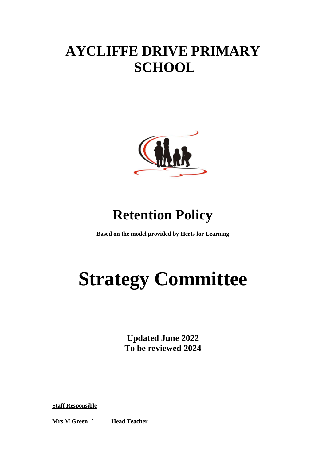## **AYCLIFFE DRIVE PRIMARY SCHOOL**



### **Retention Policy**

**Based on the model provided by Herts for Learning**

# **Strategy Committee**

**Updated June 2022 To be reviewed 2024**

**Staff Responsible**

**Mrs M Green ` Head Teacher**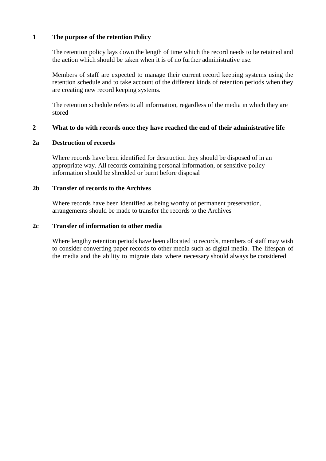#### **1 The purpose of the retention Policy**

The retention policy lays down the length of time which the record needs to be retained and the action which should be taken when it is of no further administrative use.

Members of staff are expected to manage their current record keeping systems using the retention schedule and to take account of the different kinds of retention periods when they are creating new record keeping systems.

The retention schedule refers to all information, regardless of the media in which they are stored

#### **2 What to do with records once they have reached the end of their administrative life**

#### **2a Destruction of records**

Where records have been identified for destruction they should be disposed of in an appropriate way. All records containing personal information, or sensitive policy information should be shredded or burnt before disposal

#### **2b Transfer of records to the Archives**

Where records have been identified as being worthy of permanent preservation, arrangements should be made to transfer the records to the Archives

#### **2c Transfer of information to other media**

Where lengthy retention periods have been allocated to records, members of staff may wish to consider converting paper records to other media such as digital media. The lifespan of the media and the ability to migrate data where necessary should always be considered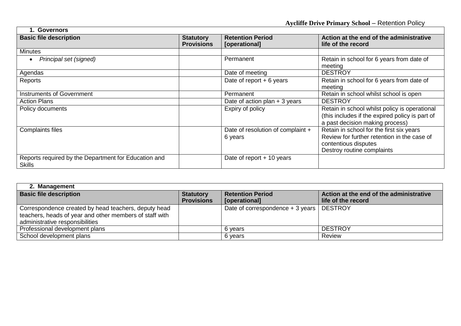| <b>Governors</b>                                                      |                                       |                                              |                                                                                                                                               |  |
|-----------------------------------------------------------------------|---------------------------------------|----------------------------------------------|-----------------------------------------------------------------------------------------------------------------------------------------------|--|
| <b>Basic file description</b>                                         | <b>Statutory</b><br><b>Provisions</b> | <b>Retention Period</b><br>[operational]     | Action at the end of the administrative<br>life of the record                                                                                 |  |
| Minutes                                                               |                                       |                                              |                                                                                                                                               |  |
| Principal set (signed)<br>$\bullet$                                   |                                       | Permanent                                    | Retain in school for 6 years from date of<br>meeting                                                                                          |  |
| Agendas                                                               |                                       | Date of meeting                              | <b>DESTROY</b>                                                                                                                                |  |
| Reports                                                               |                                       | Date of report $+6$ years                    | Retain in school for 6 years from date of<br>meeting                                                                                          |  |
| <b>Instruments of Government</b>                                      |                                       | Permanent                                    | Retain in school whilst school is open                                                                                                        |  |
| <b>Action Plans</b>                                                   |                                       | Date of action plan $+3$ years               | <b>DESTROY</b>                                                                                                                                |  |
| Policy documents                                                      |                                       | Expiry of policy                             | Retain in school whilst policy is operational<br>(this includes if the expired policy is part of<br>a past decision making process)           |  |
| <b>Complaints files</b>                                               |                                       | Date of resolution of complaint +<br>6 years | Retain in school for the first six years<br>Review for further retention in the case of<br>contentious disputes<br>Destroy routine complaints |  |
| Reports required by the Department for Education and<br><b>Skills</b> |                                       | Date of report $+$ 10 years                  |                                                                                                                                               |  |

 $\Gamma$ 

| 2. Management                                                                                                                                      |                                       |                                            |                                                               |  |
|----------------------------------------------------------------------------------------------------------------------------------------------------|---------------------------------------|--------------------------------------------|---------------------------------------------------------------|--|
| <b>Basic file description</b>                                                                                                                      | <b>Statutory</b><br><b>Provisions</b> | <b>Retention Period</b><br>[operational]   | Action at the end of the administrative<br>life of the record |  |
| Correspondence created by head teachers, deputy head<br>teachers, heads of year and other members of staff with<br>administrative responsibilities |                                       | Date of correspondence + 3 years   DESTROY |                                                               |  |
| Professional development plans                                                                                                                     |                                       | 6 years                                    | <b>DESTROY</b>                                                |  |
| School development plans                                                                                                                           |                                       | 6 years                                    | Review                                                        |  |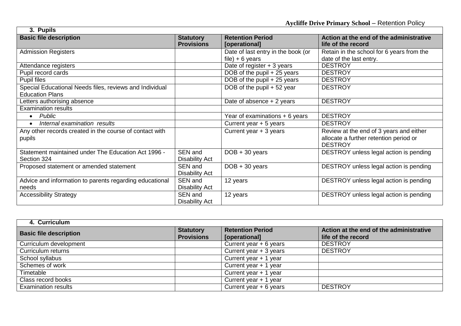| 3. Pupils                                               |                       |                                    |                                           |
|---------------------------------------------------------|-----------------------|------------------------------------|-------------------------------------------|
| <b>Basic file description</b>                           | <b>Statutory</b>      | <b>Retention Period</b>            | Action at the end of the administrative   |
|                                                         | <b>Provisions</b>     | [operational]                      | life of the record                        |
| <b>Admission Registers</b>                              |                       | Date of last entry in the book (or | Retain in the school for 6 years from the |
|                                                         |                       | file) $+ 6$ years                  | date of the last entry.                   |
| Attendance registers                                    |                       | Date of register $+3$ years        | <b>DESTROY</b>                            |
| Pupil record cards                                      |                       | DOB of the pupil + 25 years        | <b>DESTROY</b>                            |
| Pupil files                                             |                       | DOB of the pupil + 25 years        | <b>DESTROY</b>                            |
| Special Educational Needs files, reviews and Individual |                       | DOB of the pupil + 52 year         | <b>DESTROY</b>                            |
| <b>Education Plans</b>                                  |                       |                                    |                                           |
| Letters authorising absence                             |                       | Date of absence $+2$ years         | <b>DESTROY</b>                            |
| <b>Examination results</b>                              |                       |                                    |                                           |
| Public<br>$\bullet$                                     |                       | Year of examinations $+6$ years    | <b>DESTROY</b>                            |
| Internal examination results<br>$\bullet$               |                       | Current year + 5 years             | <b>DESTROY</b>                            |
| Any other records created in the course of contact with |                       | Current year + 3 years             | Review at the end of 3 years and either   |
| pupils                                                  |                       |                                    | allocate a further retention period or    |
|                                                         |                       |                                    | <b>DESTROY</b>                            |
| Statement maintained under The Education Act 1996 -     | SEN and               | $DOB + 30$ years                   | DESTROY unless legal action is pending    |
| Section 324                                             | <b>Disability Act</b> |                                    |                                           |
| Proposed statement or amended statement                 | SEN and               | $DOB + 30$ years                   | DESTROY unless legal action is pending    |
|                                                         | Disability Act        |                                    |                                           |
| Advice and information to parents regarding educational | SEN and               | 12 years                           | DESTROY unless legal action is pending    |
| needs                                                   | <b>Disability Act</b> |                                    |                                           |
| <b>Accessibility Strategy</b>                           | SEN and               | 12 years                           | DESTROY unless legal action is pending    |
|                                                         | <b>Disability Act</b> |                                    |                                           |

ா

| 4. Curriculum                 |                                       |                                          |                                                               |
|-------------------------------|---------------------------------------|------------------------------------------|---------------------------------------------------------------|
| <b>Basic file description</b> | <b>Statutory</b><br><b>Provisions</b> | <b>Retention Period</b><br>[operational] | Action at the end of the administrative<br>life of the record |
| Curriculum development        |                                       | Current year $+ 6$ years                 | <b>DESTROY</b>                                                |
| Curriculum returns            |                                       | Current year + 3 years                   | <b>DESTROY</b>                                                |
| School syllabus               |                                       | Current year + 1 year                    |                                                               |
| Schemes of work               |                                       | Current year + 1 year                    |                                                               |
| Timetable                     |                                       | Current year + 1 year                    |                                                               |
| Class record books            |                                       | Current year + 1 year                    |                                                               |
| <b>Examination results</b>    |                                       | Current year $+ 6$ years                 | <b>DESTROY</b>                                                |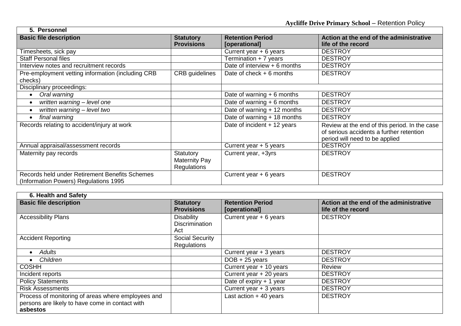| 5. Personnel                                      |                      |                                           |                                               |  |
|---------------------------------------------------|----------------------|-------------------------------------------|-----------------------------------------------|--|
| <b>Basic file description</b>                     | <b>Statutory</b>     | <b>Retention Period</b>                   | Action at the end of the administrative       |  |
|                                                   | <b>Provisions</b>    | [operational]                             | life of the record                            |  |
| Timesheets, sick pay                              |                      | Current year $+ 6$ years                  | <b>DESTROY</b>                                |  |
| <b>Staff Personal files</b>                       |                      | $\overline{\text{Termination}} + 7$ years | <b>DESTROY</b>                                |  |
| Interview notes and recruitment records           |                      | Date of interview $+6$ months             | <b>DESTROY</b>                                |  |
| Pre-employment vetting information (including CRB | CRB guidelines       | Date of check $+6$ months                 | <b>DESTROY</b>                                |  |
| checks)                                           |                      |                                           |                                               |  |
| Disciplinary proceedings:                         |                      |                                           |                                               |  |
| Oral warning<br>$\bullet$                         |                      | Date of warning $+ 6$ months              | <b>DESTROY</b>                                |  |
| written warning - level one<br>$\bullet$          |                      | Date of warning $+6$ months               | <b>DESTROY</b>                                |  |
| written warning - level two<br>$\bullet$          |                      | Date of warning + 12 months               | <b>DESTROY</b>                                |  |
| final warning<br>$\bullet$                        |                      | Date of warning + 18 months               | <b>DESTROY</b>                                |  |
| Records relating to accident/injury at work       |                      | Date of incident + 12 years               | Review at the end of this period. In the case |  |
|                                                   |                      |                                           | of serious accidents a further retention      |  |
|                                                   |                      |                                           | period will need to be applied                |  |
| Annual appraisal/assessment records               |                      | Current year + 5 years                    | <b>DESTROY</b>                                |  |
| Maternity pay records                             | Statutory            | Current year, +3yrs                       | <b>DESTROY</b>                                |  |
|                                                   | <b>Maternity Pay</b> |                                           |                                               |  |
|                                                   | <b>Regulations</b>   |                                           |                                               |  |
| Records held under Retirement Benefits Schemes    |                      | Current year + 6 years                    | <b>DESTROY</b>                                |  |
| (Information Powers) Regulations 1995             |                      |                                           |                                               |  |

 $\Gamma$ 

| 6. Health and Safety                                                                                              |                                                   |                                          |                                                               |
|-------------------------------------------------------------------------------------------------------------------|---------------------------------------------------|------------------------------------------|---------------------------------------------------------------|
| <b>Basic file description</b>                                                                                     | <b>Statutory</b><br><b>Provisions</b>             | <b>Retention Period</b><br>[operational] | Action at the end of the administrative<br>life of the record |
| <b>Accessibility Plans</b>                                                                                        | <b>Disability</b><br><b>Discrimination</b><br>Act | Current year + 6 years                   | <b>DESTROY</b>                                                |
| <b>Accident Reporting</b>                                                                                         | <b>Social Security</b><br><b>Regulations</b>      |                                          |                                                               |
| Adults                                                                                                            |                                                   | Current year + 3 years                   | <b>DESTROY</b>                                                |
| Children                                                                                                          |                                                   | $DOB + 25$ years                         | <b>DESTROY</b>                                                |
| <b>COSHH</b>                                                                                                      |                                                   | Current year + 10 years                  | Review                                                        |
| Incident reports                                                                                                  |                                                   | Current year + 20 years                  | <b>DESTROY</b>                                                |
| <b>Policy Statements</b>                                                                                          |                                                   | Date of expiry $+1$ year                 | <b>DESTROY</b>                                                |
| <b>Risk Assessments</b>                                                                                           |                                                   | Current year + 3 years                   | <b>DESTROY</b>                                                |
| Process of monitoring of areas where employees and<br>persons are likely to have come in contact with<br>asbestos |                                                   | Last action $+40$ years                  | <b>DESTROY</b>                                                |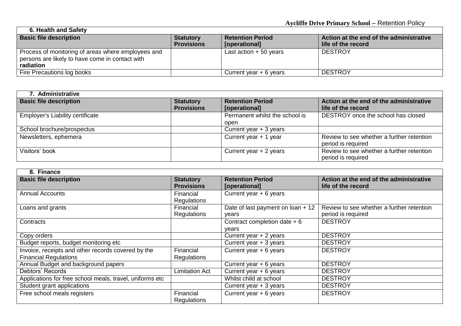| 6. Health and Safety                                                                                               |                                       |                                          |                                                               |
|--------------------------------------------------------------------------------------------------------------------|---------------------------------------|------------------------------------------|---------------------------------------------------------------|
| <b>Basic file description</b>                                                                                      | <b>Statutory</b><br><b>Provisions</b> | <b>Retention Period</b><br>[operational] | Action at the end of the administrative<br>life of the record |
| Process of monitoring of areas where employees and<br>persons are likely to have come in contact with<br>radiation |                                       | Last action $+50$ years                  | <b>DESTROY</b>                                                |
| Fire Precautions log books                                                                                         |                                       | Current year $+6$ years                  | <b>DESTROY</b>                                                |

 $\mathbf{r}$ 

| 7. Administrative                       |                                       |                                          |                                                                 |  |
|-----------------------------------------|---------------------------------------|------------------------------------------|-----------------------------------------------------------------|--|
| <b>Basic file description</b>           | <b>Statutory</b><br><b>Provisions</b> | <b>Retention Period</b><br>[operational] | Action at the end of the administrative<br>life of the record   |  |
| <b>Employer's Liability certificate</b> |                                       | Permanent whilst the school is<br>open   | DESTROY once the school has closed                              |  |
| School brochure/prospectus              |                                       | Current year + 3 years                   |                                                                 |  |
| Newsletters, ephemera                   |                                       | Current year + 1 year                    | Review to see whether a further retention<br>period is required |  |
| Visitors' book                          |                                       | Current year + 2 years                   | Review to see whether a further retention<br>period is required |  |

| 8. Finance                                               |                                       |                                            |                                                                 |  |
|----------------------------------------------------------|---------------------------------------|--------------------------------------------|-----------------------------------------------------------------|--|
| <b>Basic file description</b>                            | <b>Statutory</b><br><b>Provisions</b> | <b>Retention Period</b><br>[operational]   | Action at the end of the administrative<br>life of the record   |  |
| <b>Annual Accounts</b>                                   | Financial<br>Regulations              | Current year $+ 6$ years                   |                                                                 |  |
| Loans and grants                                         | Financial<br>Regulations              | Date of last payment on loan + 12<br>vears | Review to see whether a further retention<br>period is required |  |
| Contracts                                                |                                       | Contract completion date $+6$<br>vears     | <b>DESTROY</b>                                                  |  |
| Copy orders                                              |                                       | Current year + 2 years                     | <b>DESTROY</b>                                                  |  |
| Budget reports, budget monitoring etc                    |                                       | Current year + 3 years                     | <b>DESTROY</b>                                                  |  |
| Invoice, receipts and other records covered by the       | Financial                             | Current year $+ 6$ years                   | <b>DESTROY</b>                                                  |  |
| <b>Financial Regulations</b>                             | Regulations                           |                                            |                                                                 |  |
| Annual Budget and background papers                      |                                       | Current year $+ 6$ years                   | <b>DESTROY</b>                                                  |  |
| Debtors' Records                                         | <b>Limitation Act</b>                 | Current year $+ 6$ years                   | <b>DESTROY</b>                                                  |  |
| Applications for free school meals, travel, uniforms etc |                                       | Whilst child at school                     | <b>DESTROY</b>                                                  |  |
| Student grant applications                               |                                       | Current year + 3 years                     | <b>DESTROY</b>                                                  |  |
| Free school meals registers                              | Financial<br><b>Regulations</b>       | Current year $+ 6$ years                   | <b>DESTROY</b>                                                  |  |